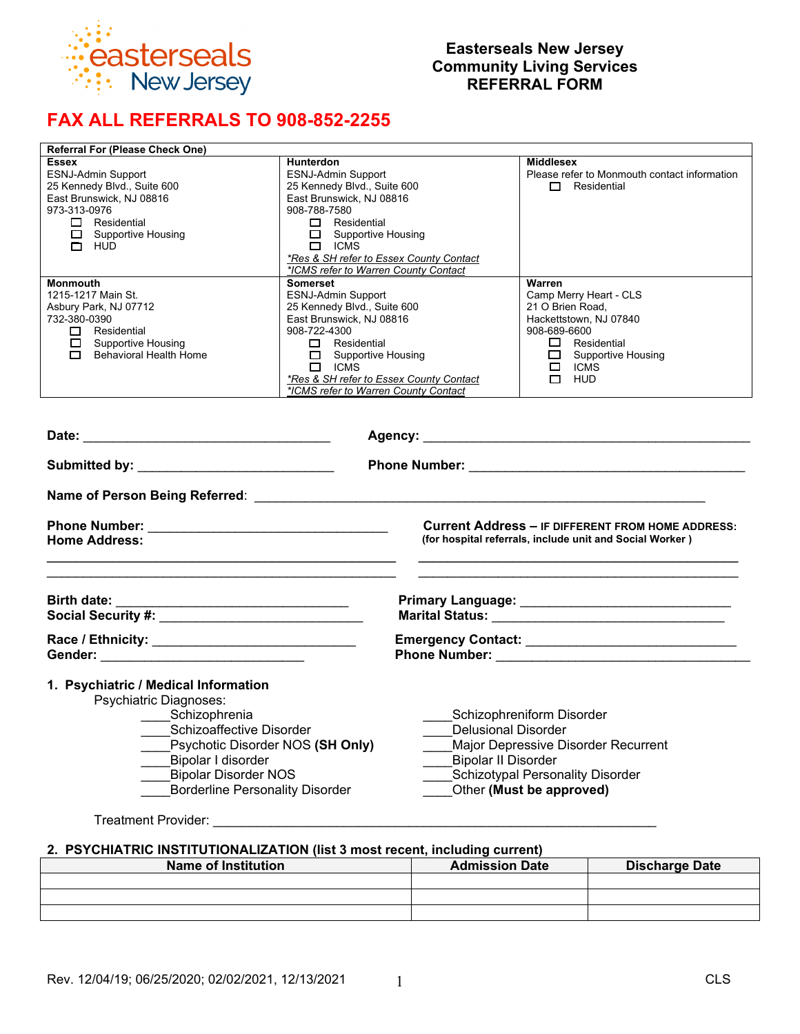

# **Easterseals New Jersey Community Living Services REFERRAL FORM**

# **FAX ALL REFERRALS TO 908-852-2255**

| <b>Referral For (Please Check One)</b>                                                                                                                                                                                                         |                                                                                                                                                                                                                                                                                     |                                                                                                                                                                                |  |  |  |
|------------------------------------------------------------------------------------------------------------------------------------------------------------------------------------------------------------------------------------------------|-------------------------------------------------------------------------------------------------------------------------------------------------------------------------------------------------------------------------------------------------------------------------------------|--------------------------------------------------------------------------------------------------------------------------------------------------------------------------------|--|--|--|
| <b>Essex</b><br><b>ESNJ-Admin Support</b><br>25 Kennedy Blvd., Suite 600<br>East Brunswick, NJ 08816<br>973-313-0976<br>$\Box$ Residential<br>Supportive Housing<br>$\Box$ HUD                                                                 | <b>Hunterdon</b><br><b>ESNJ-Admin Support</b><br>25 Kennedy Blvd., Suite 600<br>East Brunswick, NJ 08816<br>908-788-7580<br>$\Box$ Residential<br>Supportive Housing<br>$\Box$ ICMS<br>*Res & SH refer to Essex County Contact<br>*ICMS refer to Warren County Contact              | <b>Middlesex</b><br>Please refer to Monmouth contact information<br>$\Box$ Residential                                                                                         |  |  |  |
| <b>Monmouth</b><br>1215-1217 Main St.<br>Asbury Park, NJ 07712<br>732-380-0390<br>$\Box$ Residential<br>$\Box$ Supportive Housing<br>$\Box$ Behavioral Health Home                                                                             | Somerset<br><b>ESNJ-Admin Support</b><br>25 Kennedy Blvd., Suite 600<br>East Brunswick, NJ 08816<br>908-722-4300<br>$\Box$ Residential<br>Supportive Housing<br>$\Box$ ICMS<br>*Res & SH refer to Essex County Contact<br>*ICMS refer to Warren County Contact                      | Warren<br>Camp Merry Heart - CLS<br>21 O Brien Road.<br>Hackettstown, NJ 07840<br>908-689-6600<br>$\Box$ Residential<br>$\Box$ Supportive Housing<br>$\Box$ ICMS<br>$\Box$ HUD |  |  |  |
|                                                                                                                                                                                                                                                |                                                                                                                                                                                                                                                                                     |                                                                                                                                                                                |  |  |  |
|                                                                                                                                                                                                                                                |                                                                                                                                                                                                                                                                                     |                                                                                                                                                                                |  |  |  |
|                                                                                                                                                                                                                                                |                                                                                                                                                                                                                                                                                     |                                                                                                                                                                                |  |  |  |
| <b>Home Address:</b>                                                                                                                                                                                                                           |                                                                                                                                                                                                                                                                                     | <b>Current Address - IF DIFFERENT FROM HOME ADDRESS:</b><br>(for hospital referrals, include unit and Social Worker)                                                           |  |  |  |
|                                                                                                                                                                                                                                                |                                                                                                                                                                                                                                                                                     |                                                                                                                                                                                |  |  |  |
|                                                                                                                                                                                                                                                |                                                                                                                                                                                                                                                                                     |                                                                                                                                                                                |  |  |  |
| 1. Psychiatric / Medical Information<br>Psychiatric Diagnoses:<br>Schizophrenia<br>Schizoaffective Disorder<br>Psychotic Disorder NOS (SH Only)<br>Bipolar I disorder<br><b>Bipolar Disorder NOS</b><br><b>Borderline Personality Disorder</b> | Delusional Disorder<br><b>Bipolar II Disorder</b><br>Treatment Provider: New York State State State State State State State State State State State State State State State State State State State State State State State State State State State State State State State State S | Schizophreniform Disorder<br>Major Depressive Disorder Recurrent<br><b>Schizotypal Personality Disorder</b><br>Other (Must be approved)                                        |  |  |  |
|                                                                                                                                                                                                                                                | 2. PSYCHIATRIC INSTITUTIONALIZATION (list 3 most recent, including current)                                                                                                                                                                                                         |                                                                                                                                                                                |  |  |  |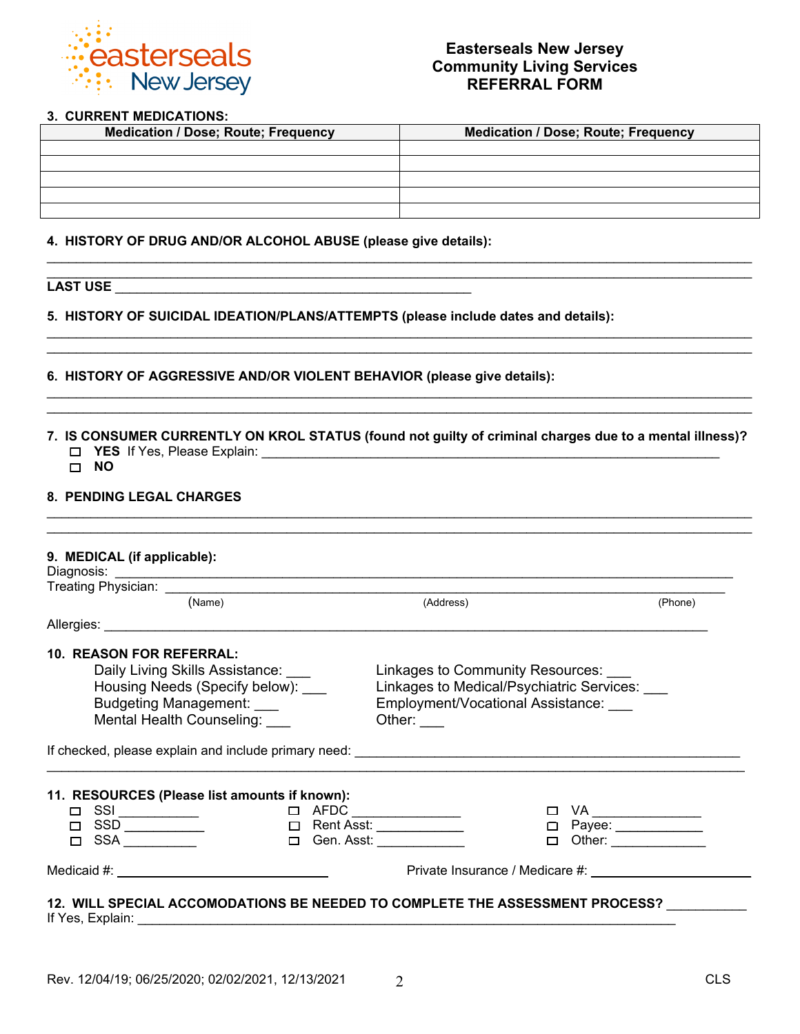

#### **3. CURRENT MEDICATIONS:**

| <b>Medication / Dose; Route; Frequency</b> | <b>Medication / Dose; Route; Frequency</b> |
|--------------------------------------------|--------------------------------------------|
|                                            |                                            |
|                                            |                                            |
|                                            |                                            |
|                                            |                                            |
|                                            |                                            |

\_\_\_\_\_\_\_\_\_\_\_\_\_\_\_\_\_\_\_\_\_\_\_\_\_\_\_\_\_\_\_\_\_\_\_\_\_\_\_\_\_\_\_\_\_\_\_\_\_\_\_\_\_\_\_\_\_\_\_\_\_\_\_\_\_\_\_\_\_\_\_\_\_\_\_\_\_\_\_\_\_\_\_\_\_\_\_\_\_\_\_\_\_\_\_\_\_

\_\_\_\_\_\_\_\_\_\_\_\_\_\_\_\_\_\_\_\_\_\_\_\_\_\_\_\_\_\_\_\_\_\_\_\_\_\_\_\_\_\_\_\_\_\_\_\_\_\_\_\_\_\_\_\_\_\_\_\_\_\_\_\_\_\_\_\_\_\_\_\_\_\_\_\_\_\_\_\_\_\_\_\_\_\_\_\_\_\_\_\_\_\_\_\_\_ \_\_\_\_\_\_\_\_\_\_\_\_\_\_\_\_\_\_\_\_\_\_\_\_\_\_\_\_\_\_\_\_\_\_\_\_\_\_\_\_\_\_\_\_\_\_\_\_\_\_\_\_\_\_\_\_\_\_\_\_\_\_\_\_\_\_\_\_\_\_\_\_\_\_\_\_\_\_\_\_\_\_\_\_\_\_\_\_\_\_\_\_\_\_\_\_\_

\_\_\_\_\_\_\_\_\_\_\_\_\_\_\_\_\_\_\_\_\_\_\_\_\_\_\_\_\_\_\_\_\_\_\_\_\_\_\_\_\_\_\_\_\_\_\_\_\_\_\_\_\_\_\_\_\_\_\_\_\_\_\_\_\_\_\_\_\_\_\_\_\_\_\_\_\_\_\_\_\_\_\_\_\_\_\_\_\_\_\_\_\_\_\_\_\_ \_\_\_\_\_\_\_\_\_\_\_\_\_\_\_\_\_\_\_\_\_\_\_\_\_\_\_\_\_\_\_\_\_\_\_\_\_\_\_\_\_\_\_\_\_\_\_\_\_\_\_\_\_\_\_\_\_\_\_\_\_\_\_\_\_\_\_\_\_\_\_\_\_\_\_\_\_\_\_\_\_\_\_\_\_\_\_\_\_\_\_\_\_\_\_\_\_

**4. HISTORY OF DRUG AND/OR ALCOHOL ABUSE (please give details):** 

# **LAST USE** \_\_\_\_\_\_\_\_\_\_\_\_\_\_\_\_\_\_\_\_\_\_\_\_\_\_\_\_\_\_\_\_\_\_\_\_\_\_\_\_\_\_\_\_\_\_\_\_\_

**5. HISTORY OF SUICIDAL IDEATION/PLANS/ATTEMPTS (please include dates and details):** 

#### **6. HISTORY OF AGGRESSIVE AND/OR VIOLENT BEHAVIOR (please give details):**

**7. IS CONSUMER CURRENTLY ON KROL STATUS (found not guilty of criminal charges due to a mental illness)? YES** If Yes, Please Explain: \_\_\_\_\_\_\_\_\_\_\_\_\_\_\_\_\_\_\_\_\_\_\_\_\_\_\_\_\_\_\_\_\_\_\_\_\_\_\_\_\_\_\_\_\_\_\_\_\_\_\_\_\_\_\_\_\_\_\_\_\_\_\_

\_\_\_\_\_\_\_\_\_\_\_\_\_\_\_\_\_\_\_\_\_\_\_\_\_\_\_\_\_\_\_\_\_\_\_\_\_\_\_\_\_\_\_\_\_\_\_\_\_\_\_\_\_\_\_\_\_\_\_\_\_\_\_\_\_\_\_\_\_\_\_\_\_\_\_\_\_\_\_\_\_\_\_\_\_\_\_\_\_\_\_\_\_\_\_\_\_

**NO**

#### **8. PENDING LEGAL CHARGES**

| (Name)                                                                                                                                                                                                                                                                                                                                                                              |  | (Address)                                            | (Phone)                               |
|-------------------------------------------------------------------------------------------------------------------------------------------------------------------------------------------------------------------------------------------------------------------------------------------------------------------------------------------------------------------------------------|--|------------------------------------------------------|---------------------------------------|
|                                                                                                                                                                                                                                                                                                                                                                                     |  |                                                      |                                       |
| <b>10. REASON FOR REFERRAL:</b>                                                                                                                                                                                                                                                                                                                                                     |  |                                                      |                                       |
| Daily Living Skills Assistance:                                                                                                                                                                                                                                                                                                                                                     |  | Linkages to Community Resources: ___                 |                                       |
| Housing Needs (Specify below):                                                                                                                                                                                                                                                                                                                                                      |  | Linkages to Medical/Psychiatric Services: ___        |                                       |
| <b>Budgeting Management:</b>                                                                                                                                                                                                                                                                                                                                                        |  | Employment/Vocational Assistance:                    |                                       |
| Mental Health Counseling:                                                                                                                                                                                                                                                                                                                                                           |  | Other: $\frac{1}{1}$                                 |                                       |
|                                                                                                                                                                                                                                                                                                                                                                                     |  |                                                      |                                       |
|                                                                                                                                                                                                                                                                                                                                                                                     |  |                                                      |                                       |
|                                                                                                                                                                                                                                                                                                                                                                                     |  |                                                      |                                       |
| 11. RESOURCES (Please list amounts if known):                                                                                                                                                                                                                                                                                                                                       |  |                                                      |                                       |
|                                                                                                                                                                                                                                                                                                                                                                                     |  | $\begin{tabular}{ll} $\square$ & AFDC \end{tabular}$ |                                       |
| $\begin{array}{ccccccc}\n\square & SSI & & & & & & \square & AFDC \end{array} \qquad \qquad \begin{array}{ccccccc}\n\square & AFDC & & & & & & \square & & \square & & \square & & \square & & \square & & \square & & \square & & \square & & \square & & \square & & \square & & \square & & \square & & \square & & \square & & \square & & \square & &$<br>$\Box$ SSA _________ |  | $\Box$ Gen. Asst: ___________                        |                                       |
|                                                                                                                                                                                                                                                                                                                                                                                     |  | Private Insurance / Medicare #:                      | □ Payee: ___________<br>$\Box$ Other: |

If Yes, Explain: \_\_\_\_\_\_\_\_\_\_\_\_\_\_\_\_\_\_\_\_\_\_\_\_\_\_\_\_\_\_\_\_\_\_\_\_\_\_\_\_\_\_\_\_\_\_\_\_\_\_\_\_\_\_\_\_\_\_\_\_\_\_\_\_\_\_\_\_\_\_\_\_\_\_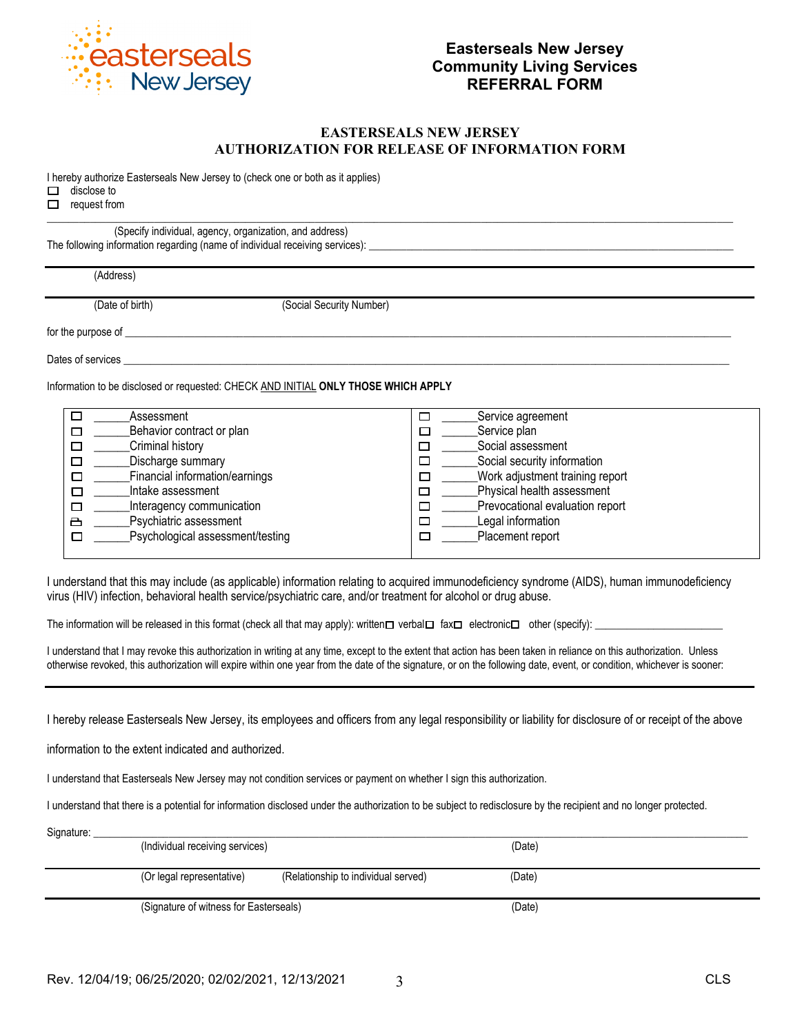

#### **EASTERSEALS NEW JERSEY AUTHORIZATION FOR RELEASE OF INFORMATION FORM**

I hereby authorize Easterseals New Jersey to (check one or both as it applies)

 $\Box$  disclose to

 $\Box$  request from  $\mathcal{L}_\mathcal{L} = \{ \mathcal{L}_\mathcal{L} = \{ \mathcal{L}_\mathcal{L} = \{ \mathcal{L}_\mathcal{L} = \{ \mathcal{L}_\mathcal{L} = \{ \mathcal{L}_\mathcal{L} = \{ \mathcal{L}_\mathcal{L} = \{ \mathcal{L}_\mathcal{L} = \{ \mathcal{L}_\mathcal{L} = \{ \mathcal{L}_\mathcal{L} = \{ \mathcal{L}_\mathcal{L} = \{ \mathcal{L}_\mathcal{L} = \{ \mathcal{L}_\mathcal{L} = \{ \mathcal{L}_\mathcal{L} = \{ \mathcal{L}_\mathcal{$ 

(Specify individual, agency, organization, and address) The following information regarding (name of individual receiving services):

(Address)

(Date of birth) (Social Security Number)

for the purpose of

Dates of services \_\_\_\_\_\_\_\_\_\_\_\_\_\_\_\_\_\_\_\_\_\_\_\_\_\_\_\_\_\_\_\_\_\_\_\_\_\_\_\_\_\_\_\_\_\_\_\_\_\_\_\_\_\_\_\_\_\_\_\_\_\_\_\_\_\_\_\_\_\_\_\_\_\_\_\_\_\_\_\_\_\_\_\_\_\_\_\_\_\_\_\_\_\_\_\_\_\_\_\_\_\_\_\_\_\_\_\_\_\_\_\_\_

Information to be disclosed or requested: CHECK AND INITIAL **ONLY THOSE WHICH APPLY**

| □<br>Assessment                       | Service agreement               |
|---------------------------------------|---------------------------------|
| Behavior contract or plan<br>□        | Service plan<br>□               |
| Criminal history<br>$\Box$            | Social assessment               |
| Discharge summary<br>囗                | Social security information     |
| Financial information/earnings<br>□   | Work adjustment training report |
| Intake assessment<br>□                | Physical health assessment      |
| Interagency communication<br>□        | Prevocational evaluation report |
| Psychiatric assessment<br>凸           | Legal information               |
| Psychological assessment/testing<br>□ | Placement report                |
|                                       |                                 |

I understand that this may include (as applicable) information relating to acquired immunodeficiency syndrome (AIDS), human immunodeficiency virus (HIV) infection, behavioral health service/psychiatric care, and/or treatment for alcohol or drug abuse.

The information will be released in this format (check all that may apply): written  $\Box$  verbal  $\Box$  fax  $\Box$  electronic  $\Box$  other (specify):

I understand that I may revoke this authorization in writing at any time, except to the extent that action has been taken in reliance on this authorization. Unless otherwise revoked, this authorization will expire within one year from the date of the signature, or on the following date, event, or condition, whichever is sooner:

I hereby release Easterseals New Jersey, its employees and officers from any legal responsibility or liability for disclosure of or receipt of the above

information to the extent indicated and authorized.

I understand that Easterseals New Jersey may not condition services or payment on whether I sign this authorization.

I understand that there is a potential for information disclosed under the authorization to be subject to redisclosure by the recipient and no longer protected.

| Signature: | (Individual receiving services)        |                                     | (Date) |  |
|------------|----------------------------------------|-------------------------------------|--------|--|
|            |                                        |                                     |        |  |
|            | (Or legal representative)              | (Relationship to individual served) | (Date) |  |
|            | (Signature of witness for Easterseals) |                                     | (Date) |  |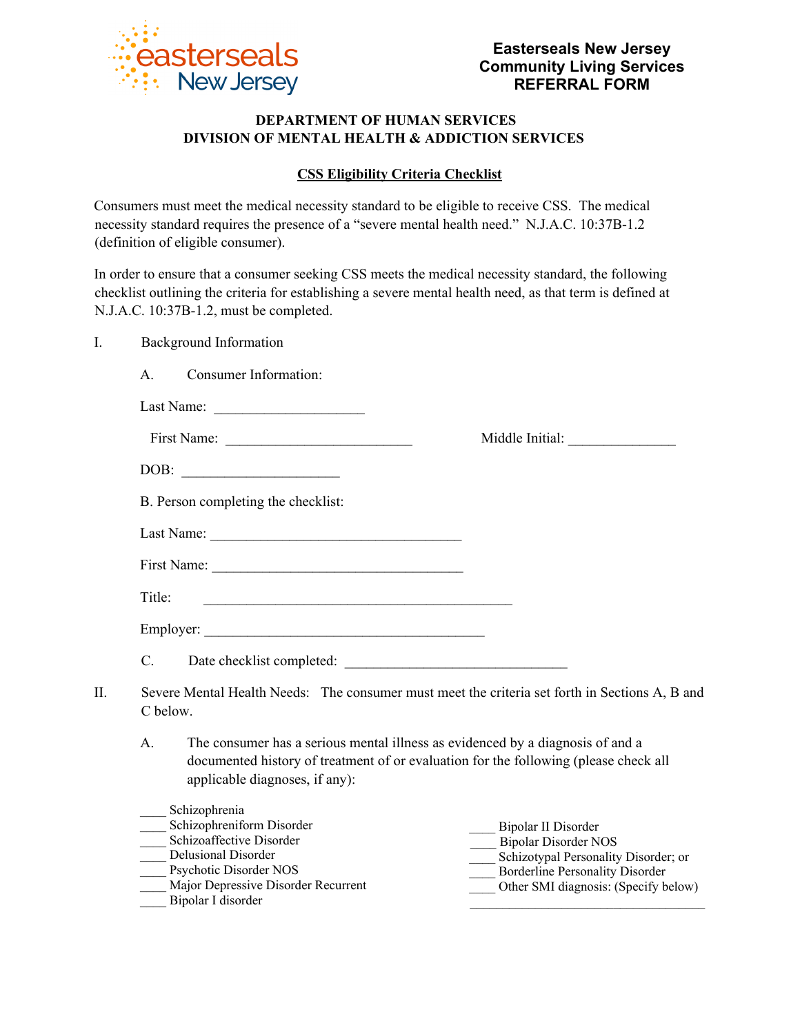

Middle Initial:

## **DEPARTMENT OF HUMAN SERVICES DIVISION OF MENTAL HEALTH & ADDICTION SERVICES**

## **CSS Eligibility Criteria Checklist**

Consumers must meet the medical necessity standard to be eligible to receive CSS. The medical necessity standard requires the presence of a "severe mental health need." N.J.A.C. 10:37B-1.2 (definition of eligible consumer).

In order to ensure that a consumer seeking CSS meets the medical necessity standard, the following checklist outlining the criteria for establishing a severe mental health need, as that term is defined at N.J.A.C. 10:37B-1.2, must be completed.

### I. Background Information

A. Consumer Information:

| Last Name: |  |
|------------|--|
|------------|--|

| First Name: |  |  |  |  |
|-------------|--|--|--|--|
|-------------|--|--|--|--|

| DOB: |  |
|------|--|
|      |  |

B. Person completing the checklist:

Last Name:

| First Name: |  |
|-------------|--|
|             |  |

| Employer: |  |
|-----------|--|
|           |  |

C. Date checklist completed: \_\_\_\_\_\_\_\_\_\_\_\_\_\_\_\_\_\_\_\_\_\_\_\_\_\_\_\_\_\_\_

- II. Severe Mental Health Needs: The consumer must meet the criteria set forth in Sections A, B and C below.
	- A. The consumer has a serious mental illness as evidenced by a diagnosis of and a documented history of treatment of or evaluation for the following (please check all applicable diagnoses, if any):

| Schizophrenia                       |                                      |
|-------------------------------------|--------------------------------------|
| Schizophreniform Disorder           | Bipolar II Disorder                  |
| Schizoaffective Disorder            | <b>Bipolar Disorder NOS</b>          |
| Delusional Disorder                 | Schizotypal Personality Disorder; or |
| Psychotic Disorder NOS              | Borderline Personality Disorder      |
| Major Depressive Disorder Recurrent | Other SMI diagnosis: (Specify below) |
| Bipolar I disorder                  |                                      |
|                                     |                                      |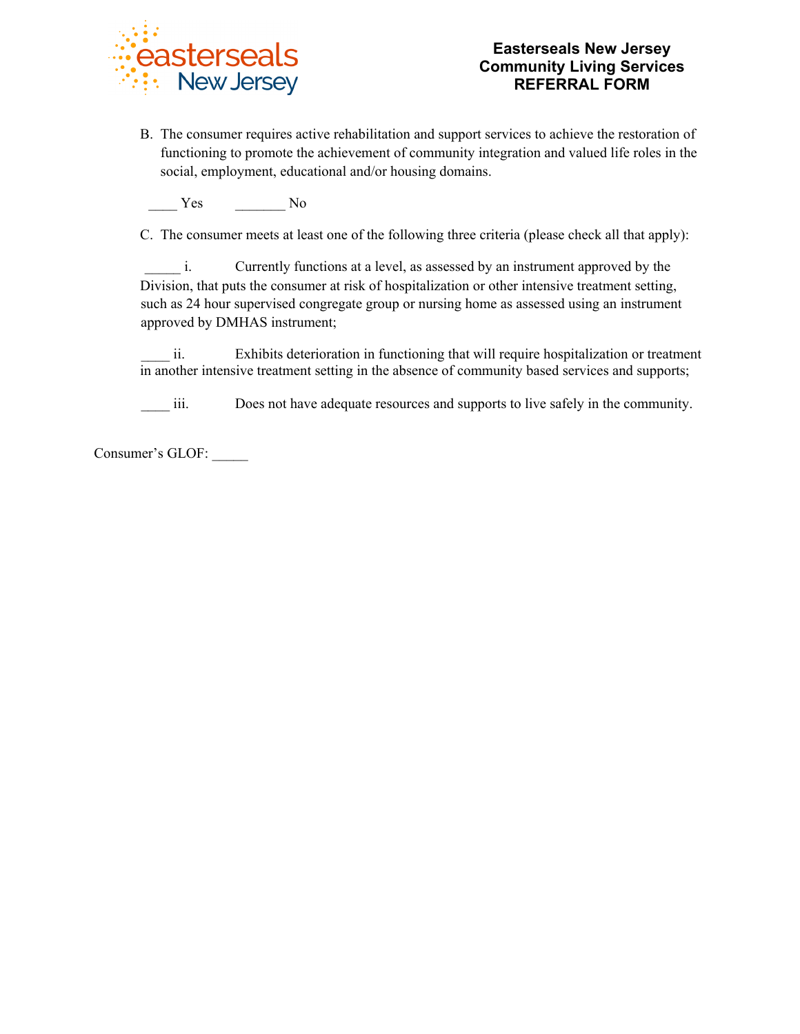

B. The consumer requires active rehabilitation and support services to achieve the restoration of functioning to promote the achievement of community integration and valued life roles in the social, employment, educational and/or housing domains.

Yes No

C. The consumer meets at least one of the following three criteria (please check all that apply):

i. Currently functions at a level, as assessed by an instrument approved by the Division, that puts the consumer at risk of hospitalization or other intensive treatment setting, such as 24 hour supervised congregate group or nursing home as assessed using an instrument approved by DMHAS instrument;

ii. Exhibits deterioration in functioning that will require hospitalization or treatment in another intensive treatment setting in the absence of community based services and supports;

iii. Does not have adequate resources and supports to live safely in the community.

Consumer's GLOF: \_\_\_\_\_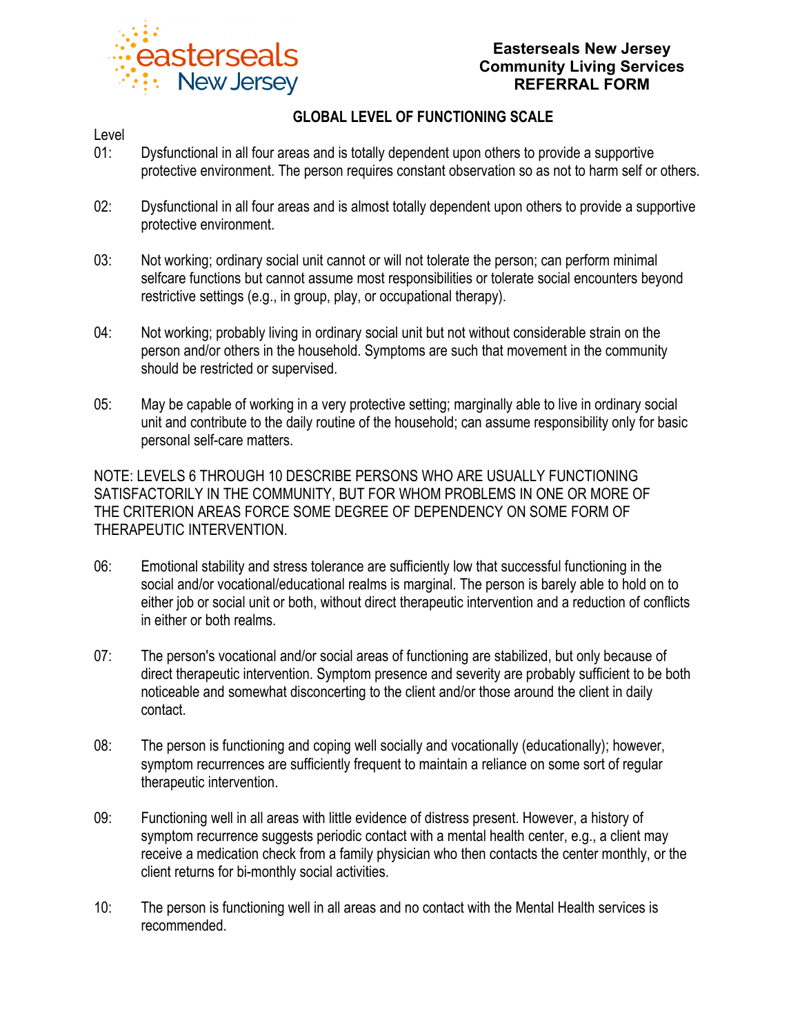

## **Easterseals New Jersey Community Living Services REFERRAL FORM**

# **GLOBAL LEVEL OF FUNCTIONING SCALE**

### Level

- 01: Dysfunctional in all four areas and is totally dependent upon others to provide a supportive protective environment. The person requires constant observation so as not to harm self or others.
- 02: Dysfunctional in all four areas and is almost totally dependent upon others to provide a supportive protective environment.
- 03: Not working; ordinary social unit cannot or will not tolerate the person; can perform minimal selfcare functions but cannot assume most responsibilities or tolerate social encounters beyond restrictive settings (e.g., in group, play, or occupational therapy).
- 04: Not working; probably living in ordinary social unit but not without considerable strain on the person and/or others in the household. Symptoms are such that movement in the community should be restricted or supervised.
- 05: May be capable of working in a very protective setting; marginally able to live in ordinary social unit and contribute to the daily routine of the household; can assume responsibility only for basic personal self-care matters.

NOTE: LEVELS 6 THROUGH 10 DESCRIBE PERSONS WHO ARE USUALLY FUNCTIONING SATISFACTORILY IN THE COMMUNITY, BUT FOR WHOM PROBLEMS IN ONE OR MORE OF THE CRITERION AREAS FORCE SOME DEGREE OF DEPENDENCY ON SOME FORM OF THERAPEUTIC INTERVENTION.

- 06: Emotional stability and stress tolerance are sufficiently low that successful functioning in the social and/or vocational/educational realms is marginal. The person is barely able to hold on to either job or social unit or both, without direct therapeutic intervention and a reduction of conflicts in either or both realms.
- 07: The person's vocational and/or social areas of functioning are stabilized, but only because of direct therapeutic intervention. Symptom presence and severity are probably sufficient to be both noticeable and somewhat disconcerting to the client and/or those around the client in daily contact.
- 08: The person is functioning and coping well socially and vocationally (educationally); however, symptom recurrences are sufficiently frequent to maintain a reliance on some sort of regular therapeutic intervention.
- 09: Functioning well in all areas with little evidence of distress present. However, a history of symptom recurrence suggests periodic contact with a mental health center, e.g., a client may receive a medication check from a family physician who then contacts the center monthly, or the client returns for bi-monthly social activities.
- 10: The person is functioning well in all areas and no contact with the Mental Health services is recommended.